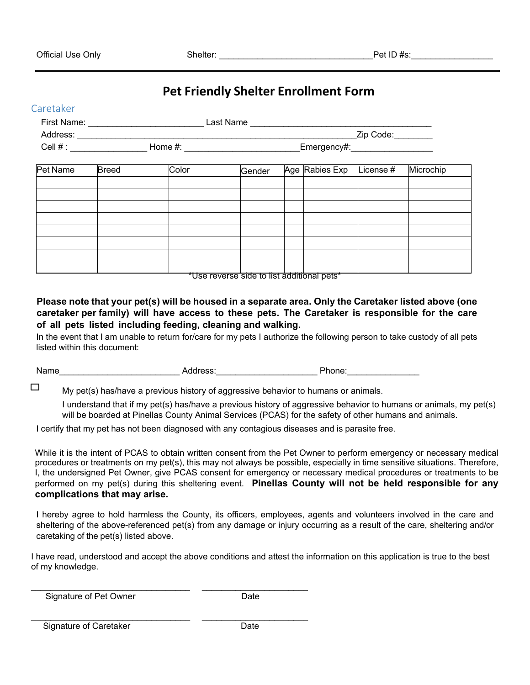Caretaker

 $\Box$ 

## **Pet Friendly Shelter Enrollment Form**

|          |                       |  |                                                    | Zip Code: |                    |  |  |  |  |  |
|----------|-----------------------|--|----------------------------------------------------|-----------|--------------------|--|--|--|--|--|
|          |                       |  | Emergency#:___________________                     |           |                    |  |  |  |  |  |
| Pet Name | Color<br><b>Breed</b> |  | Age Rabies Exp<br>Microchip<br>License #<br>Gender |           |                    |  |  |  |  |  |
|          |                       |  |                                                    |           |                    |  |  |  |  |  |
|          |                       |  |                                                    |           |                    |  |  |  |  |  |
|          |                       |  |                                                    |           |                    |  |  |  |  |  |
|          |                       |  |                                                    |           |                    |  |  |  |  |  |
|          |                       |  |                                                    |           |                    |  |  |  |  |  |
|          |                       |  |                                                    |           |                    |  |  |  |  |  |
|          |                       |  |                                                    |           |                    |  |  |  |  |  |
|          |                       |  |                                                    |           | - 1111 - 111 - 112 |  |  |  |  |  |

\*Use reverse side to list additional pets\*

**Please note that your pet(s) will be housed in a separate area. Only the Caretaker listed above (one caretaker per family) will have access to these pets. The Caretaker is responsible for the care of all pets listed including feeding, cleaning and walking.**

In the event that I am unable to return for/care for my pets I authorize the following person to take custody of all pets listed within this document:

Name Mone Address: Address: Address: Phone:

My pet(s) has/have a previous history of aggressive behavior to humans or animals.

I understand that if my pet(s) has/have a previous history of aggressive behavior to humans or animals, my pet(s) will be boarded at Pinellas County Animal Services (PCAS) for the safety of other humans and animals.

I certify that my pet has not been diagnosed with any contagious diseases and is parasite free.

While it is the intent of PCAS to obtain written consent from the Pet Owner to perform emergency or necessary medical procedures or treatments on my pet(s), this may not always be possible, especially in time sensitive situations. Therefore, I, the undersigned Pet Owner, give PCAS consent for emergency or necessary medical procedures or treatments to be performed on my pet(s) during this sheltering event. **Pinellas County will not be held responsible for any complications that may arise.**

I hereby agree to hold harmless the County, its officers, employees, agents and volunteers involved in the care and sheltering of the above-referenced pet(s) from any damage or injury occurring as a result of the care, sheltering and/or caretaking of the pet(s) listed above.

I have read, understood and accept the above conditions and attest the information on this application is true to the best of my knowledge.

\_\_\_\_\_\_\_\_\_\_\_\_\_\_\_\_\_\_\_\_\_\_\_\_\_\_\_\_\_\_\_\_\_ \_\_\_\_\_\_\_\_\_\_\_\_\_\_\_\_\_\_\_\_\_\_ Signature of Pet Owner Date

\_\_\_\_\_\_\_\_\_\_\_\_\_\_\_\_\_\_\_\_\_\_\_\_\_\_\_\_\_\_\_\_\_ \_\_\_\_\_\_\_\_\_\_\_\_\_\_\_\_\_\_\_\_\_\_ Signature of Caretaker **Date**